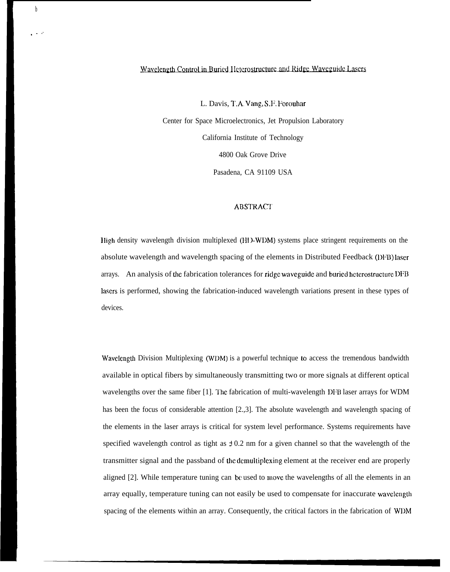## Wavelength Control in Buried Heterostructure and Ridge Waveguide Lasers

b

. . ,'

L. Davis, T.A. Vang, S.F. Forouhar Center for Space Microelectronics, Jet Propulsion Laboratory California Institute of Technology 4800 Oak Grove Drive Pasadena, CA 91109 USA

## **ABSTRACT**

1 Iigh density wavelength division multiplexed (HD-WDM) systems place stringent requirements on the absolute wavelength and wavelength spacing of the elements in Distributed Feedback (DFB) laser arrays. An analysis of the fabrication tolerances for ridge waveguide and buried hctcrostructurc DFB lasers is performed, showing the fabrication-induced wavelength variations present in these types of devices.

Wavelength Division Multiplexing (WDM) is a powerful technique to access the tremendous bandwidth available in optical fibers by simultaneously transmitting two or more signals at different optical wavelengths over the same fiber [1]. The fabrication of multi-wavelength DFB laser arrays for WDM has been the focus of considerable attention [2.,3]. The absolute wavelength and wavelength spacing of the elements in the laser arrays is critical for system level performance. Systems requirements have specified wavelength control as tight as  $\pm 0.2$  nm for a given channel so that the wavelength of the transmitter signal and the passband of the dcmulliplcxing element at the receiver end are properly aligned [2]. While temperature tuning can be used to move the wavelengths of all the elements in an array equally, temperature tuning can not easily be used to compensate for inaccurate wavelength spacing of the elements within an array. Consequently, the critical factors in the fabrication of WDM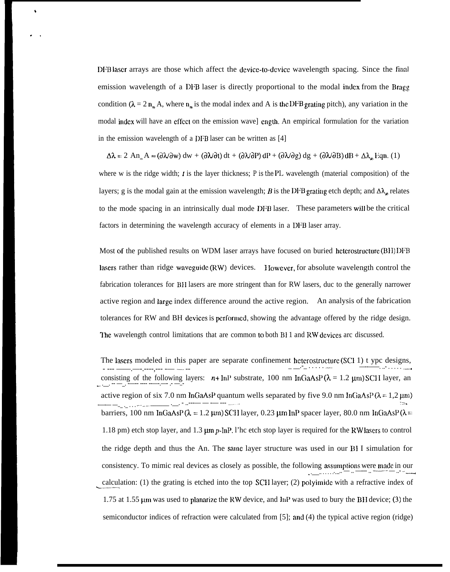DIB laser arrays are those which affect the device-to-device wavelength spacing. Since the final emission wavelength of a DFB laser is directly proportional to the modal imlcx from the Bragg condition ( $\lambda = 2 n_m A$ , where  $n_m$  is the modal index and A is the DFB grating pitch), any variation in the modal imlcx will have an effect on the emission wave] cngth. An empirical formulation for the variation in the emission wavelength of a DFB laser can be written as [4]

b

.,

 $\Delta \lambda = 2$  An<sub>m</sub> A  $\approx (\partial \lambda/\partial w)$  dw +  $(\partial \lambda/\partial t)$  dt +  $(\partial \lambda/\partial P)$  dP +  $(\partial \lambda/\partial g)$  dg +  $(\partial \lambda/\partial B)$  dB +  $\Delta \lambda_a$ , Eqn. (1)

where w is the ridge width;  $t$  is the layer thickness;  $P$  *is the* PL wavelength (material composition) of the layers; g is the modal gain at the emission wavelength; B is the DFB grating etch depth; and  $\Delta\lambda_{\phi}$  relates to the mode spacing in an intrinsically dual mode DFB laser. These parameters will be the critical factors in determining the wavelength accuracy of elements in a DFB laser array.

Most of the published results on WDM laser arrays have focused on buried heterostructure (BH) IDFB lasers rather than ridge waveguide (RW) devices. I lowever, for absolute wavelength control the fabrication tolerances for BII lasers are more stringent than for RW lasers, duc to the generally narrower active region and large index difference around the active region. An analysis of the fabrication tolerances for RW and BH devices is performed, showing the advantage offered by the ridge design. The wavelength control limitations that are common to both B<sub>I</sub> 1 and RW devices arc discussed.

The lasers modeled in this paper are separate confinement heterostructure (SCI 1) t ypc designs,<br> $\frac{1}{1-\frac{1}{2}+\cdots+\frac{1}{2-\frac{1}{2}+\cdots+\frac{1}{2-\frac{1}{2}+\cdots+\frac{1}{2-\frac{1}{2}+\cdots+\frac{1}{2-\frac{1}{2}+\cdots+\frac{1}{2-\frac{1}{2}+\cdots+\frac{1}{2-\frac{1}{2}+\cdots+\frac{1}{2-\frac{1}{$ - --- <del>------</del>.----.----,--- ---- --- -consisting of the following layers:  $n+ \ln P$  substrate, 100 nm InGaAsP( $\lambda = 1.2 \mu m$ ) SCH layer, an active region of six 7.0 nm InGaAsP quantum wells separated by five 9.0 nm InGaAsP ( $\lambda = 1.2 \mu m$ ) -—-— —..\_ .\_ . . . \_+ A".- \_\_\_\_\_\_ .\_\_. - ..---— — -— --- —--- -=> barriers, 100 nm InGaAsP ( $\lambda = 1.2 \mu$ m) SCH layer, 0.23  $\mu$ m InP spacer layer, 80.0 nm InGaAsP ( $\lambda$  = 1.18 pm) etch stop layer, and 1.3  $\mu$ m p-InP. I'hc etch stop layer is required for the RW lasers to control the ridge depth and thus the An. The same layer structure was used in our  $BII$  simulation for consistency. To mimic real devices as closely as possible, the following assumptions were made in our ., .\_\_\_.. . . . . . . . \_.. — .. —--- .. ——— — ..- .. \_..\_+ calculation: (1) the grating is etched into the top SCH layer; (2) polyimide with a refractive index of 1.75 at 1.55  $\mu$ m was used to planarize the RW device, and InP was used to bury the BH device; (3) the semiconductor indices of refraction were calculated from [5]; and (4) the typical active region (ridge)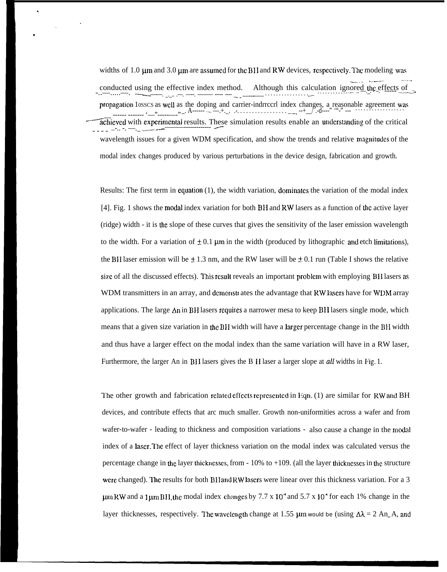widths of 1.0  $\mu$ m and 3.0  $\mu$ m are assumed for the BH and RW devices, respectively. The modeling was Although this calculation ignored the effects of conducted using the effective index method. propagation 10sscs as well as the doping and carrier-indrecent index changes, a reasonable agreement was<br> $\ldots$ ,  $\ldots$ ,  $\ldots$ ,  $\ldots$ ,  $\ldots$ ,  $\ldots$ ,  $\ldots$ ,  $\ldots$ ,  $\ldots$ ,  $\ldots$ ,  $\ldots$ ,  $\ldots$ ,  $\ldots$ ,  $\ldots$ ,  $\ldots$ ,  $\ldots$ ,  $\ldots$  $, -$ . A-achieved with experimental results. These simulation results enable an understanding of the critical wavelength issues for a given WDM specification, and show the trends and relative magnitudes of the modal index changes produced by various perturbations in the device design, fabrication and growth.

Results: The first term in equation  $(1)$ , the width variation, dominates the variation of the modal index [4]. Fig. 1 shows the modal index variation for both BH and RW lasers as a function of the active layer (ridge) width - it is the slope of these curves that gives the sensitivity of the laser emission wavelength to the width. For a variation of  $\pm 0.1$  µm in the width (produced by lithographic and etch limitations), the BH laser emission will be  $\pm$  1.3 nm, and the RW laser will be  $\pm$  0.1 run (Table I shows the relative size of all the discussed effects). This result reveals an important problem with employing BH lasers as WDM transmitters in an array, and demonstrates the advantage that RW lasers have for WDM array applications. The large  $\Delta n$  in BH lasers requires a narrower mesa to keep BH lasers single mode, which means that a given size variation in the BH width will have a larger percentage change in the BH width and thus have a larger effect on the modal index than the same variation will have in a RW laser, Furthermore, the larger An in BH lasers gives the BH laser a larger slope at all widths in Fig. 1.

The other growth and fabrication related effects represented in Eqn. (1) are similar for RW and BH devices, and contribute effects that arc much smaller. Growth non-uniformities across a wafer and from wafer-to-wafer - leading to thickness and composition variations - also cause a change in the modal index of a laser. The effect of layer thickness variation on the modal index was calculated versus the percentage change in the layer thicknesses, from  $-10\%$  to  $+109$ . (all the layer thicknesses in the structure were changed). The results for both BH and RW lasers were linear over this thickness variation. For a 3  $\mu$ m RW and a 1 $\mu$ m BH, the modal index changes by 7.7 x 10<sup>-4</sup> and 5.7 x 10<sup>-4</sup> for each 1% change in the layer thicknesses, respectively. The wavelength change at 1.55  $\mu$ m would be (using  $\Delta \lambda = 2$  An A, and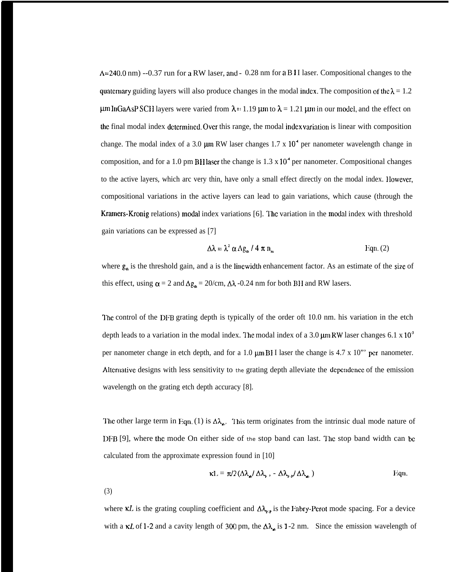$\Delta = 240.0$  nm) --0.37 run for a RW laser, and - 0.28 nm for a B I I laser. Compositional changes to the quate mary guiding layers will also produce changes in the modal index. The composition of the  $\lambda = 1.2$  $\mu$ m InGaAsP SCH layers were varied from  $\lambda = 1.19 \mu$ m to  $\lambda = 1.21 \mu$ m in our model, and the effect on the final modal index determined. Over this range, the modal index variation is linear with composition change. The modal index of a 3.0  $\mu$ m RW laser changes 1.7 x 10<sup>4</sup> per nanometer wavelength change in composition, and for a 1.0 pm BHI asser the change is  $1.3 \times 10^4$  per nanometer. Compositional changes to the active layers, which arc very thin, have only a small effect directly on the modal index. However, compositional variations in the active layers can lead to gain variations, which cause (through the Kramers-Kronig relations) modal index variations [6]. The variation in the modal index with threshold gain variations can be expressed as [7]

$$
\Delta\lambda = \lambda^2 \alpha \Delta g_{\rm th} / 4 \pi n_{\rm m}
$$
 Eqn. (2)

where  $g_{\mu}$  is the threshold gain, and a is the linewidth enhancement factor. As an estimate of the size of this effect, using  $\alpha = 2$  and  $\Delta g_{\alpha} = 20/cm$ ,  $\Delta \lambda$  -0.24 nm for both BH and RW lasers.

'I'he control of the DFB grating depth is typically of the order oft 10.0 nm. his variation in the etch depth leads to a variation in the modal index. The modal index of a 3.0  $\mu$ m RW laser changes 6.1 x 10<sup>5</sup> per nanometer change in etch depth, and for a 1.0  $\mu$ m BI I laser the change is 4.7 x 10"' per nanometer. Alternative designs with less sensitivity to the grating depth alleviate the dependence of the emission wavelength on the grating etch depth accuracy [8].

The other large term in Eqn. (1) is  $\Delta\lambda_{\rm st}$ . This term originates from the intrinsic dual mode nature of DFB [9], where the mode On either side of the stop band can last. The stop band width can be calculated from the approximate expression found in [10]

$$
\kappa L = \pi/2 \left( \Delta \lambda_{\mathbf{a}} / \Delta \lambda_{\mathbf{r}} \right), - \Delta \lambda_{\mathbf{r}} / \Delta \lambda_{\mathbf{a}} \right)
$$
 Eqn.

(3)

where  $\kappa L$  is the grating coupling coefficient and  $\Delta\lambda_{\gamma,\rho}$  is the Fabry-Perot mode spacing. For a device with a  $\kappa L$  of 1-2 and a cavity length of 300 pm, the  $\Delta\lambda_{\bf{m}}$  is 1-2 nm. Since the emission wavelength of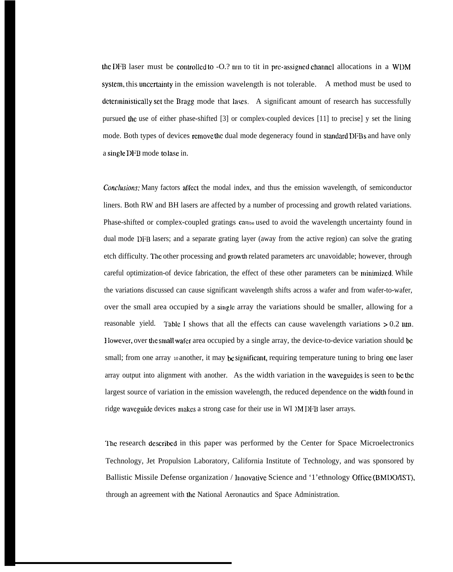the DFB laser must be controlled to  $-O.2$  nm to tit in pre-assigned channel allocations in a WDM system, this uncertainty in the emission wavelength is not tolerable. A method must be used to deterministically set the Bragg mode that lases. A significant amount of research has successfully pursued the use of either phase-shifted [3] or complex-coupled devices [11] to precise] y set the lining mode. Both types of devices remove the dual mode degeneracy found in standard DFBs and have only a single IWB mode to lase in.

*conclusions:* Many factors affect the modal index, and thus the emission wavelength, of semiconductor liners. Both RW and BH lasers are affected by a number of processing and growth related variations. Phase-shifted or complex-coupled gratings canbell and to avoid the wavelength uncertainty found in dual mode DFB lasers; and a separate grating layer (away from the active region) can solve the grating etch difficulty. The other processing and growth related parameters arc unavoidable; however, through careful optimization-of device fabrication, the effect of these other parameters can be minimized. While the variations discussed can cause significant wavelength shifts across a wafer and from wafer-to-wafer, over the small area occupied by a single array the variations should be smaller, allowing for a reasonable yield. Table I shows that all the effects can cause wavelength variations  $> 0.2$  nm. <sup>I</sup> Iowever, over the small wafer area occupied by a single array, the device-to-device variation should be small; from one array 10 another, it may be significant, requiring temperature tuning to bring one laser array output into alignment with another. As the width variation in the waveguidcs is seen to be the largest source of variation in the emission wavelength, the reduced dependence on the width found in ridge waveguide devices makes a strong case for their use in WI )M I)I:B laser arrays.

l'he research dcscribcd in this paper was performed by the Center for Space Microelectronics Technology, Jet Propulsion Laboratory, California Institute of Technology, and was sponsored by Ballistic Missile Defense organization / Innovative Science and '1'ethnology Office (BMDO/IST), through an agreement with the National Aeronautics and Space Administration.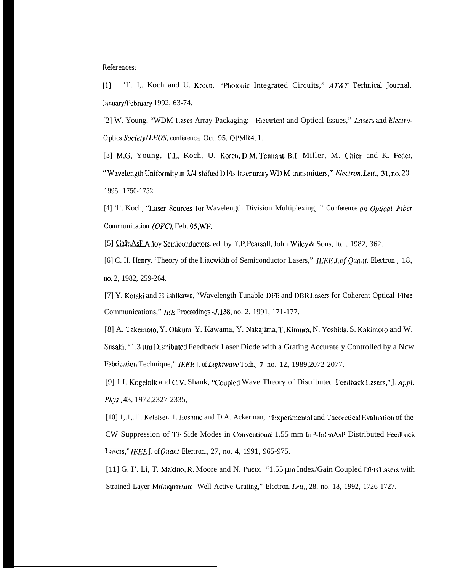## References:

'I'. I., Koch and U. Koren, "Photonic Integrated Circuits," AT&T Technical Journal.  $\left(1\right)$ January/February 1992, 63-74.

[2] W. Young, "WDM Laser Array Packaging: Electrical and Optical Issues," Lasers and Electro-Optics Society (LEOS) conference, Oct. 95, OPMR4.1.

[3] M.G. Young, T.L. Koch, U. Koren, D.M. Tennant, B.I. Miller, M. Chien and K. Feder, "Wavelength Uniformity in  $\lambda$ /4 shifted DFB laser array WDM transmitters," Electron. Lett., 31, no. 20, 1995, 1750-1752.

[4] '1'. Koch, "Laser Sources for Wavelength Division Multiplexing, " Conference on Optical Fiber Communication (OFC), Feb. 95, WF.

[5] GalnAsP Alloy Semiconductors, ed. by T.P. Pearsall, John Wiley & Sons, 1td., 1982, 362.

[6] C. II. Henry, 'Theory of the Linewidth of Semiconductor Lasers," IEEE J, of Quant. Electron., 18, no. 2, 1982, 259-264.

[7] Y. Kotaki and H. Ishikawa, "Wavelength Tunable DFB and DBR Lasers for Coherent Optical Fibre Communications," IEE Proceedings - J.138, no. 2, 1991, 171-177.

[8] A. Takemoto, Y. Ohkura, Y. Kawama, Y. Nakajima, T. Kimura, N. Yoshida, S. Kakimoto and W. Susaki, "1.3 μm Distributed Feedback Laser Diode with a Grating Accurately Controlled by a Ncw Fabrication Technique," IEEE J. of Lightwave Tech., 7, no. 12, 1989,2072-2077.

[9] 1 I. Kogelnik and C.V. Shank, "Coupled Wave Theory of Distributed Feedback Lasers," J. Appl. Phys., 43, 1972, 2327-2335,

[10] 1, 1, 1.1. Ketelsen, 1. Hoshino and D.A. Ackerman, "Experimental and Theoretical Evaluation of the CW Suppression of TE Side Modes in Conventional 1.55 mm InP-InGaAsP Distributed Feedback Lasers," IEEE J. of Quant. Electron., 27, no. 4, 1991, 965-975.

[11] G. I'. Li, T. Makino, R. Moore and N. Puetz, "1.55 µm Index/Gain Coupled DI B Lasers with Strained Layer Multiquantum - Well Active Grating," Electron. Lett., 28, no. 18, 1992, 1726-1727.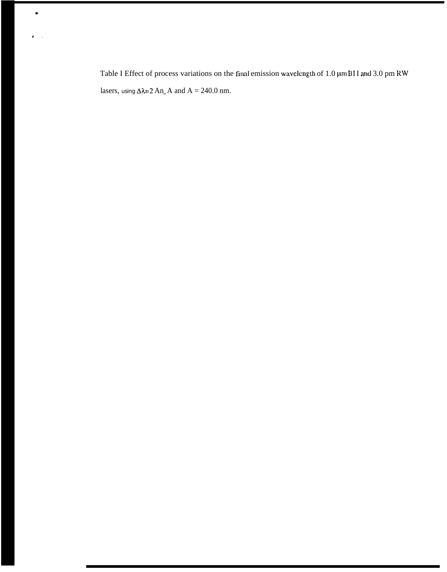Table I Effect of process variations on the final emission wavelength of 1.0  $\mu$ m BH and 3.0 pm RW lasers, using  $\Delta \lambda = 2 A n_m A$  and  $A = 240.0$  nm.

 $\bullet$ 

 $\pmb{\delta} = 1$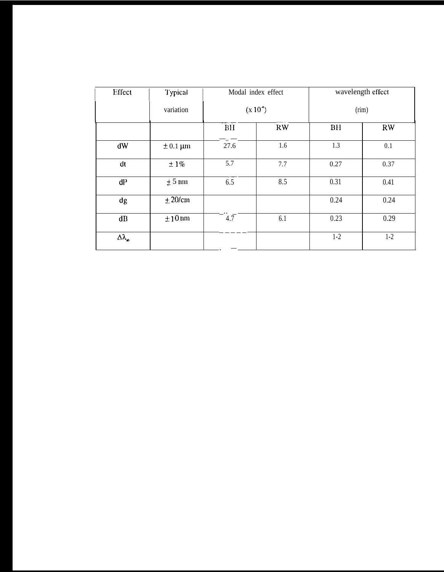| Effect                   | Typical                    | Modal index effect<br>$(x 10^4)$ |                        | wavelength effect<br>(rim) |       |
|--------------------------|----------------------------|----------------------------------|------------------------|----------------------------|-------|
|                          | variation                  |                                  |                        |                            |       |
|                          |                            | BH                               | $\mathbf{R}\mathbf{W}$ | BH                         | RW    |
| dW                       | $\pm 0.1 \,\mathrm{\mu m}$ | 27.6                             | 1.6                    | 1.3                        | 0.1   |
| dt                       | $±1\%$                     | 5.7                              | 7.7                    | 0.27                       | 0.37  |
| dP                       | $\pm$ 5 nm                 | 6.5                              | 8.5                    | 0.31                       | 0.41  |
| dg                       | $\pm 20$ /cm               |                                  |                        | 0.24                       | 0.24  |
| $\mathbf{dB}$            | $\pm 10$ nm                | $4.\overline{7}$                 | 6.1                    | 0.23                       | 0.29  |
| $\Delta\lambda_{\rm at}$ |                            |                                  |                        | $1 - 2$                    | $1-2$ |